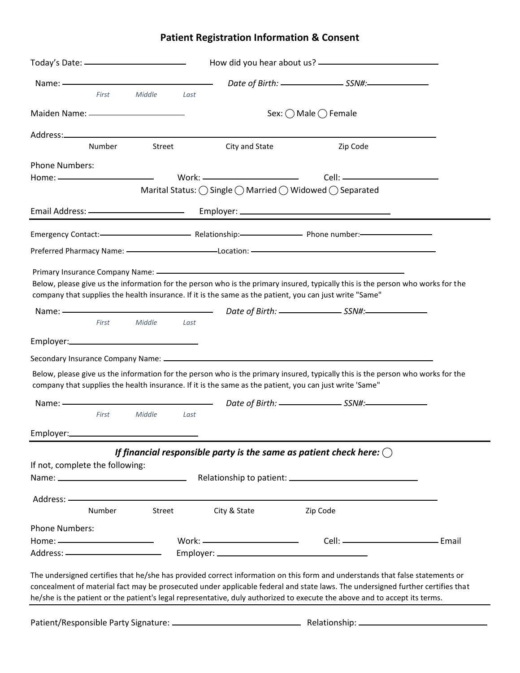## **Patient Registration Information & Consent**

|                                                                                                             |                      | $\overline{\phantom{a}}$    |                |                                                                                                                                 |  |
|-------------------------------------------------------------------------------------------------------------|----------------------|-----------------------------|----------------|---------------------------------------------------------------------------------------------------------------------------------|--|
| First                                                                                                       | Middle               | Last                        |                |                                                                                                                                 |  |
|                                                                                                             |                      |                             |                | Sex: $\bigcirc$ Male $\bigcirc$ Female                                                                                          |  |
|                                                                                                             |                      |                             |                |                                                                                                                                 |  |
| Number                                                                                                      | Street               |                             | City and State | Zip Code                                                                                                                        |  |
| <b>Phone Numbers:</b>                                                                                       |                      |                             |                |                                                                                                                                 |  |
|                                                                                                             |                      |                             |                | Cell: <b>Communication</b><br>Marital Status: ◯ Single ◯ Married ◯ Widowed ◯ Separated                                          |  |
|                                                                                                             |                      |                             |                |                                                                                                                                 |  |
|                                                                                                             |                      |                             |                |                                                                                                                                 |  |
|                                                                                                             |                      |                             |                |                                                                                                                                 |  |
|                                                                                                             |                      |                             |                | Preferred Pharmacy Name: - Cocation: - Cocation: - Cocation: - Cocation: - Cocation: - Cocation: - Cocation: -                  |  |
|                                                                                                             |                      |                             |                | Below, please give us the information for the person who is the primary insured, typically this is the person who works for the |  |
| company that supplies the health insurance. If it is the same as the patient, you can just write "Same"     |                      |                             |                |                                                                                                                                 |  |
|                                                                                                             | First Middle<br>Last |                             |                |                                                                                                                                 |  |
|                                                                                                             |                      |                             |                |                                                                                                                                 |  |
|                                                                                                             |                      |                             |                |                                                                                                                                 |  |
| company that supplies the health insurance. If it is the same as the patient, you can just write 'Same"     |                      |                             |                | Below, please give us the information for the person who is the primary insured, typically this is the person who works for the |  |
| Name: ——                                                                                                    |                      | $\sim$ $\sim$ $\sim$ $\sim$ |                |                                                                                                                                 |  |
| First                                                                                                       | Middle               | Last                        |                |                                                                                                                                 |  |
|                                                                                                             |                      |                             |                |                                                                                                                                 |  |
|                                                                                                             |                      |                             |                | If financial responsible party is the same as patient check here: $\bigcirc$                                                    |  |
|                                                                                                             |                      |                             |                |                                                                                                                                 |  |
| Address: —<br>Number                                                                                        | Street               |                             | City & State   | Zip Code                                                                                                                        |  |
|                                                                                                             |                      |                             |                |                                                                                                                                 |  |
| Employer:_<br>If not, complete the following:<br><b>Phone Numbers:</b><br>Address: <u>- Address:</u> - 2007 |                      |                             |                | Cell: <u>________________________________</u> Email                                                                             |  |

Patient/Responsible Party Signature: Relationship: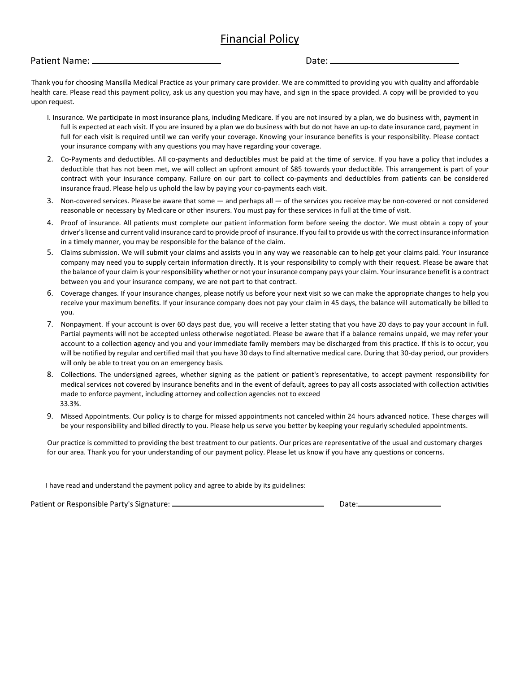## Financial Policy

| Patient Name: |  | Date: |
|---------------|--|-------|
|---------------|--|-------|

Thank you for choosing Mansilla Medical Practice as your primary care provider. We are committed to providing you with quality and affordable health care. Please read this payment policy, ask us any question you may have, and sign in the space provided. A copy will be provided to you upon request.

- I. Insurance. We participate in most insurance plans, including Medicare. If you are not insured by a plan, we do business with, payment in full is expected at each visit. If you are insured by a plan we do business with but do not have an up-to date insurance card, payment in full for each visit is required until we can verify your coverage. Knowing your insurance benefits is your responsibility. Please contact your insurance company with any questions you may have regarding your coverage.
- 2. Co-Payments and deductibles. All co-payments and deductibles must be paid at the time of service. If you have a policy that includes a deductible that has not been met, we will collect an upfront amount of \$85 towards your deductible. This arrangement is part of your contract with your insurance company. Failure on our part to collect co-payments and deductibles from patients can be considered insurance fraud. Please help us uphold the law by paying your co-payments each visit.
- 3. Non-covered services. Please be aware that some and perhaps all of the services you receive may be non-covered or not considered reasonable or necessary by Medicare or other insurers. You must pay for these services in full at the time of visit.
- 4. Proof of insurance. All patients must complete our patient information form before seeing the doctor. We must obtain a copy of your driver's license and current valid insurance card to provide proof of insurance. If you fail to provide us with the correct insurance information in a timely manner, you may be responsible for the balance of the claim.
- 5. Claims submission. We will submit your claims and assists you in any way we reasonable can to help get your claims paid. Your insurance company may need you to supply certain information directly. It is your responsibility to comply with their request. Please be aware that the balance of your claim is your responsibility whether or not your insurance company pays your claim. Your insurance benefit is a contract between you and your insurance company, we are not part to that contract.
- 6. Coverage changes. If your insurance changes, please notify us before your next visit so we can make the appropriate changes to help you receive your maximum benefits. If your insurance company does not pay your claim in 45 days, the balance will automatically be billed to you.
- 7. Nonpayment. If your account is over 60 days past due, you will receive a letter stating that you have 20 days to pay your account in full. Partial payments will not be accepted unless otherwise negotiated. Please be aware that if a balance remains unpaid, we may refer your account to a collection agency and you and your immediate family members may be discharged from this practice. If this is to occur, you will be notified by regular and certified mail that you have 30 days to find alternative medical care. During that 30-day period, our providers will only be able to treat you on an emergency basis.
- 8. Collections. The undersigned agrees, whether signing as the patient or patient's representative, to accept payment responsibility for medical services not covered by insurance benefits and in the event of default, agrees to pay all costs associated with collection activities made to enforce payment, including attorney and collection agencies not to exceed 33.3%.
- 9. Missed Appointments. Our policy is to charge for missed appointments not canceled within 24 hours advanced notice. These charges will be your responsibility and billed directly to you. Please help us serve you better by keeping your regularly scheduled appointments.

Our practice is committed to providing the best treatment to our patients. Our prices are representative of the usual and customary charges for our area. Thank you for your understanding of our payment policy. Please let us know if you have any questions or concerns.

I have read and understand the payment policy and agree to abide by its guidelines:

Patient or Responsible Party's Signature: Date: